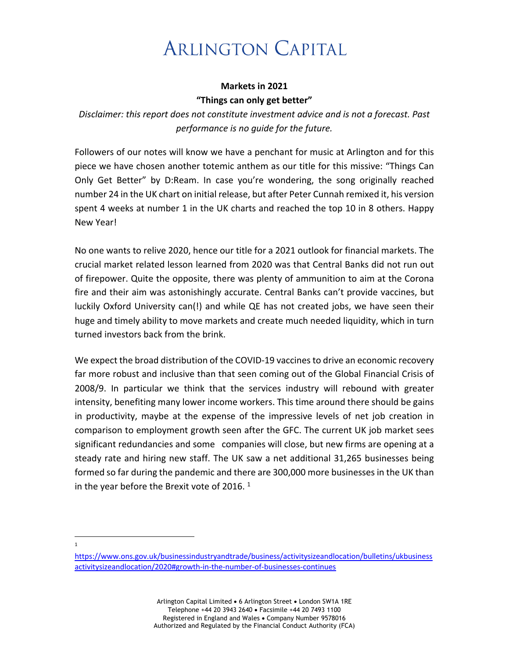## **ARLINGTON CAPITAL**

## **Markets in 2021 "Things can only get better"**

*Disclaimer: this report does not constitute investment advice and is not a forecast. Past performance is no guide for the future.*

Followers of our notes will know we have a penchant for music at Arlington and for this piece we have chosen another totemic anthem as our title for this missive: "Things Can Only Get Better" by D:Ream. In case you're wondering, the song originally reached number 24 in the UK chart on initial release, but after Peter Cunnah remixed it, his version spent 4 weeks at number 1 in the UK charts and reached the top 10 in 8 others. Happy New Year!

No one wants to relive 2020, hence our title for a 2021 outlook for financial markets. The crucial market related lesson learned from 2020 was that Central Banks did not run out of firepower. Quite the opposite, there was plenty of ammunition to aim at the Corona fire and their aim was astonishingly accurate. Central Banks can't provide vaccines, but luckily Oxford University can(!) and while QE has not created jobs, we have seen their huge and timely ability to move markets and create much needed liquidity, which in turn turned investors back from the brink.

We expect the broad distribution of the COVID-19 vaccines to drive an economic recovery far more robust and inclusive than that seen coming out of the Global Financial Crisis of 2008/9. In particular we think that the services industry will rebound with greater intensity, benefiting many lower income workers. This time around there should be gains in productivity, maybe at the expense of the impressive levels of net job creation in comparison to employment growth seen after the GFC. The current UK job market sees significant redundancies and some companies will close, but new firms are opening at a steady rate and hiring new staff. The UK saw a net additional 31,265 businesses being formed so far during the pandemic and there are 300,000 more businesses in the UK than in the year before the Brexit vote of 2016.  $1$ 

1

https://www.ons.gov.uk/businessindustryandtrade/business/activitysizeandlocation/bulletins/ukbusiness activitysizeandlocation/2020#growth-in-the-number-of-businesses-continues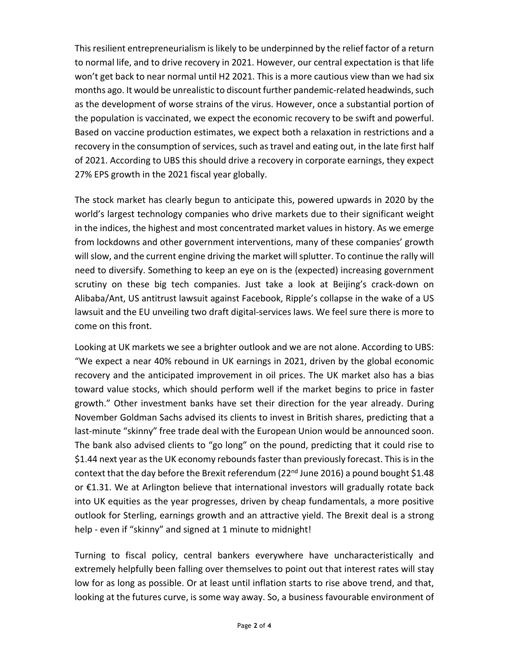This resilient entrepreneurialism is likely to be underpinned by the relief factor of a return to normal life, and to drive recovery in 2021. However, our central expectation is that life won't get back to near normal until H2 2021. This is a more cautious view than we had six months ago. It would be unrealistic to discount further pandemic-related headwinds, such as the development of worse strains of the virus. However, once a substantial portion of the population is vaccinated, we expect the economic recovery to be swift and powerful. Based on vaccine production estimates, we expect both a relaxation in restrictions and a recovery in the consumption of services, such as travel and eating out, in the late first half of 2021. According to UBS this should drive a recovery in corporate earnings, they expect 27% EPS growth in the 2021 fiscal year globally.

The stock market has clearly begun to anticipate this, powered upwards in 2020 by the world's largest technology companies who drive markets due to their significant weight in the indices, the highest and most concentrated market values in history. As we emerge from lockdowns and other government interventions, many of these companies' growth will slow, and the current engine driving the market will splutter. To continue the rally will need to diversify. Something to keep an eye on is the (expected) increasing government scrutiny on these big tech companies. Just take a look at Beijing's crack-down on Alibaba/Ant, US antitrust lawsuit against Facebook, Ripple's collapse in the wake of a US lawsuit and the EU unveiling two draft digital-services laws. We feel sure there is more to come on this front.

Looking at UK markets we see a brighter outlook and we are not alone. According to UBS: "We expect a near 40% rebound in UK earnings in 2021, driven by the global economic recovery and the anticipated improvement in oil prices. The UK market also has a bias toward value stocks, which should perform well if the market begins to price in faster growth." Other investment banks have set their direction for the year already. During November Goldman Sachs advised its clients to invest in British shares, predicting that a last-minute "skinny" free trade deal with the European Union would be announced soon. The bank also advised clients to "go long" on the pound, predicting that it could rise to \$1.44 next year as the UK economy rebounds faster than previously forecast. This is in the context that the day before the Brexit referendum (22 $nd$  June 2016) a pound bought \$1.48 or €1.31. We at Arlington believe that international investors will gradually rotate back into UK equities as the year progresses, driven by cheap fundamentals, a more positive outlook for Sterling, earnings growth and an attractive yield. The Brexit deal is a strong help - even if "skinny" and signed at 1 minute to midnight!

Turning to fiscal policy, central bankers everywhere have uncharacteristically and extremely helpfully been falling over themselves to point out that interest rates will stay low for as long as possible. Or at least until inflation starts to rise above trend, and that, looking at the futures curve, is some way away. So, a business favourable environment of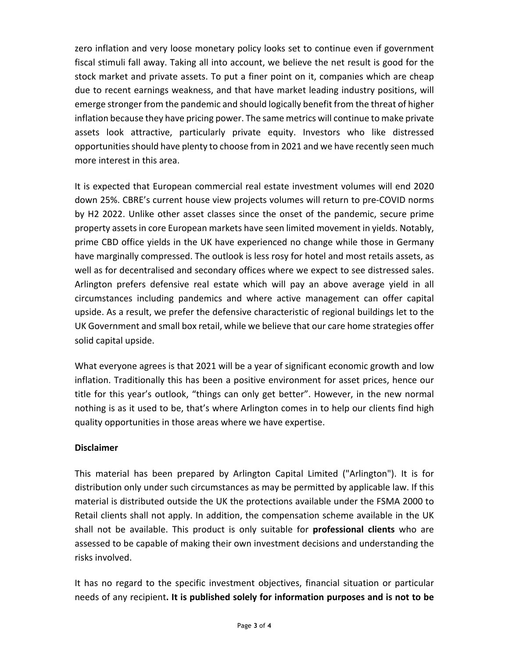zero inflation and very loose monetary policy looks set to continue even if government fiscal stimuli fall away. Taking all into account, we believe the net result is good for the stock market and private assets. To put a finer point on it, companies which are cheap due to recent earnings weakness, and that have market leading industry positions, will emerge stronger from the pandemic and should logically benefit from the threat of higher inflation because they have pricing power. The same metrics will continue to make private assets look attractive, particularly private equity. Investors who like distressed opportunities should have plenty to choose from in 2021 and we have recently seen much more interest in this area.

It is expected that European commercial real estate investment volumes will end 2020 down 25%. CBRE's current house view projects volumes will return to pre-COVID norms by H2 2022. Unlike other asset classes since the onset of the pandemic, secure prime property assets in core European markets have seen limited movement in yields. Notably, prime CBD office yields in the UK have experienced no change while those in Germany have marginally compressed. The outlook is less rosy for hotel and most retails assets, as well as for decentralised and secondary offices where we expect to see distressed sales. Arlington prefers defensive real estate which will pay an above average yield in all circumstances including pandemics and where active management can offer capital upside. As a result, we prefer the defensive characteristic of regional buildings let to the UK Government and small box retail, while we believe that our care home strategies offer solid capital upside.

What everyone agrees is that 2021 will be a year of significant economic growth and low inflation. Traditionally this has been a positive environment for asset prices, hence our title for this year's outlook, "things can only get better". However, in the new normal nothing is as it used to be, that's where Arlington comes in to help our clients find high quality opportunities in those areas where we have expertise.

## **Disclaimer**

This material has been prepared by Arlington Capital Limited ("Arlington"). It is for distribution only under such circumstances as may be permitted by applicable law. If this material is distributed outside the UK the protections available under the FSMA 2000 to Retail clients shall not apply. In addition, the compensation scheme available in the UK shall not be available. This product is only suitable for **professional clients** who are assessed to be capable of making their own investment decisions and understanding the risks involved.

It has no regard to the specific investment objectives, financial situation or particular needs of any recipient**. It is published solely for information purposes and is not to be**